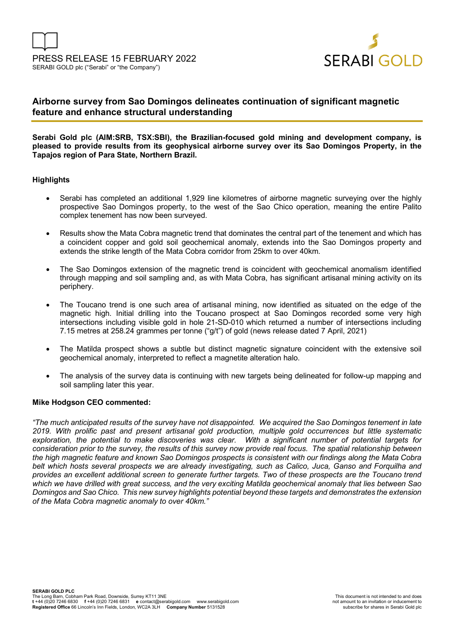



# **Airborne survey from Sao Domingos delineates continuation of significant magnetic feature and enhance structural understanding**

**Serabi Gold plc (AIM:SRB, TSX:SBI), the Brazilian-focused gold mining and development company, is pleased to provide results from its geophysical airborne survey over its Sao Domingos Property, in the Tapajos region of Para State, Northern Brazil.** 

### **Highlights**

- Serabi has completed an additional 1,929 line kilometres of airborne magnetic surveying over the highly prospective Sao Domingos property, to the west of the Sao Chico operation, meaning the entire Palito complex tenement has now been surveyed.
- Results show the Mata Cobra magnetic trend that dominates the central part of the tenement and which has a coincident copper and gold soil geochemical anomaly, extends into the Sao Domingos property and extends the strike length of the Mata Cobra corridor from 25km to over 40km.
- The Sao Domingos extension of the magnetic trend is coincident with geochemical anomalism identified through mapping and soil sampling and, as with Mata Cobra, has significant artisanal mining activity on its periphery.
- The Toucano trend is one such area of artisanal mining, now identified as situated on the edge of the magnetic high. Initial drilling into the Toucano prospect at Sao Domingos recorded some very high intersections including visible gold in hole 21-SD-010 which returned a number of intersections including 7.15 metres at 258.24 grammes per tonne ("g/t") of gold (news release dated 7 April, 2021)
- The Matilda prospect shows a subtle but distinct magnetic signature coincident with the extensive soil geochemical anomaly, interpreted to reflect a magnetite alteration halo.
- The analysis of the survey data is continuing with new targets being delineated for follow-up mapping and soil sampling later this year.

#### **Mike Hodgson CEO commented:**

*"The much anticipated results of the survey have not disappointed. We acquired the Sao Domingos tenement in late 2019. With prolific past and present artisanal gold production, multiple gold occurrences but little systematic exploration, the potential to make discoveries was clear. With a significant number of potential targets for consideration prior to the survey, the results of this survey now provide real focus. The spatial relationship between the high magnetic feature and known Sao Domingos prospects is consistent with our findings along the Mata Cobra belt which hosts several prospects we are already investigating, such as Calico, Juca, Ganso and Forquilha and provides an excellent additional screen to generate further targets. Two of these prospects are the Toucano trend which we have drilled with great success, and the very exciting Matilda geochemical anomaly that lies between Sao Domingos and Sao Chico. This new survey highlights potential beyond these targets and demonstrates the extension of the Mata Cobra magnetic anomaly to over 40km."*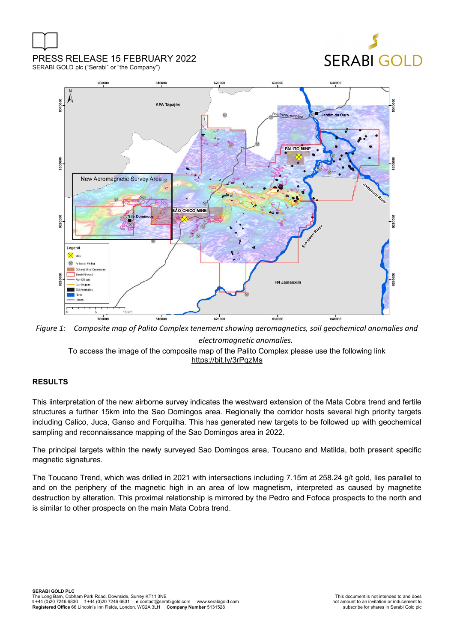# PRESS RELEASE 15 FEBRUARY 2022

# **SERABI GOLD**

SERABI GOLD plc ("Serabi" or "the Company")



*Figure 1: Composite map of Palito Complex tenement showing aeromagnetics, soil geochemical anomalies and electromagnetic anomalies.* 

To access the image of the composite map of the Palito Complex please use the following link https://bit.ly/3rPqzMs

# **RESULTS**

This iinterpretation of the new airborne survey indicates the westward extension of the Mata Cobra trend and fertile structures a further 15km into the Sao Domingos area. Regionally the corridor hosts several high priority targets including Calico, Juca, Ganso and Forquilha. This has generated new targets to be followed up with geochemical sampling and reconnaissance mapping of the Sao Domingos area in 2022.

The principal targets within the newly surveyed Sao Domingos area, Toucano and Matilda, both present specific magnetic signatures.

The Toucano Trend, which was drilled in 2021 with intersections including 7.15m at 258.24 g/t gold, lies parallel to and on the periphery of the magnetic high in an area of low magnetism, interpreted as caused by magnetite destruction by alteration. This proximal relationship is mirrored by the Pedro and Fofoca prospects to the north and is similar to other prospects on the main Mata Cobra trend.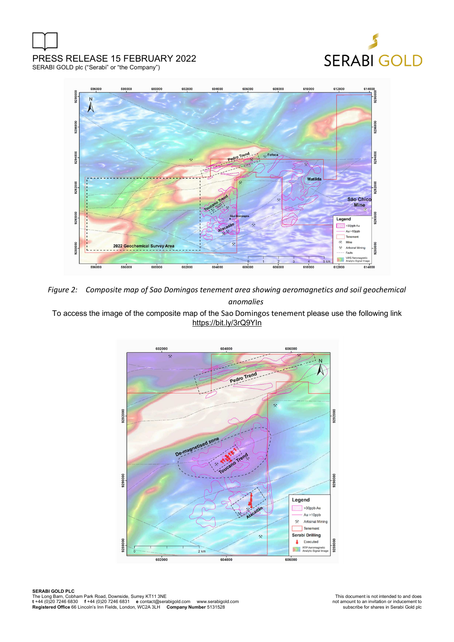# PRESS RELEASE 15 FEBRUARY 2022 SERABI GOLD plc ("Serabi" or "the Company")





*Figure 2: Composite map of Sao Domingos tenement area showing aeromagnetics and soil geochemical anomalies* 

To access the image of the composite map of the Sao Domingos tenement please use the following link https://bit.ly/3rQ9YIn

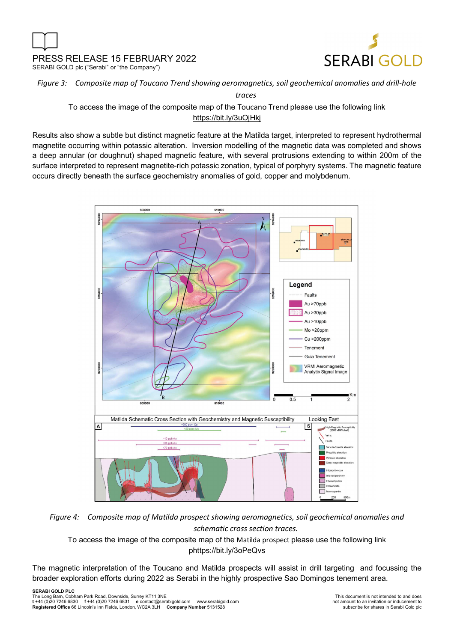



# *Figure 3: Composite map of Toucano Trend showing aeromagnetics, soil geochemical anomalies and drill-hole*

*traces* 

To access the image of the composite map of the Toucano Trend please use the following link https://bit.ly/3uOjHkj

Results also show a subtle but distinct magnetic feature at the Matilda target, interpreted to represent hydrothermal magnetite occurring within potassic alteration. Inversion modelling of the magnetic data was completed and shows a deep annular (or doughnut) shaped magnetic feature, with several protrusions extending to within 200m of the surface interpreted to represent magnetite-rich potassic zonation, typical of porphyry systems. The magnetic feature occurs directly beneath the surface geochemistry anomalies of gold, copper and molybdenum.



*Figure 4: Composite map of Matilda prospect showing aeromagnetics, soil geochemical anomalies and schematic cross section traces.* 

To access the image of the composite map of the Matilda prospect please use the following link phttps://bit.ly/3oPeQvs

The magnetic interpretation of the Toucano and Matilda prospects will assist in drill targeting and focussing the broader exploration efforts during 2022 as Serabi in the highly prospective Sao Domingos tenement area.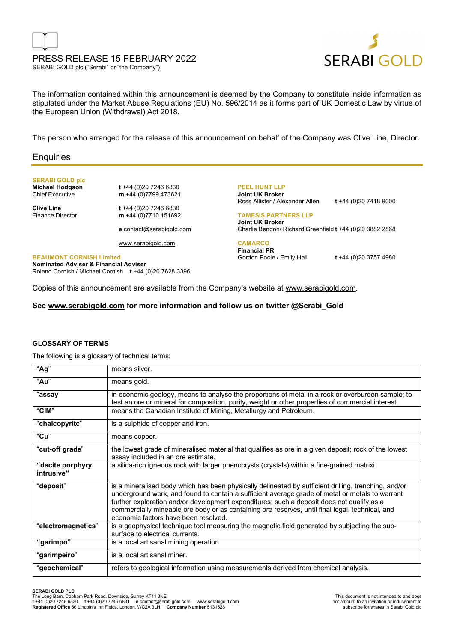



The information contained within this announcement is deemed by the Company to constitute inside information as stipulated under the Market Abuse Regulations (EU) No. 596/2014 as it forms part of UK Domestic Law by virtue of the European Union (Withdrawal) Act 2018.

The person who arranged for the release of this announcement on behalf of the Company was Clive Line, Director.

### **Enquiries**

**SERABI GOLD plc** 

**Michael Hodgson t +**44 (0)20 7246 6830 Chief Executive **m** +44 (0)7799 473621

**Clive Line t +**44 (0)20 7246 6830 Finance Director **m** +44 (0)7710 151692

**e** contact@serabigold.com

www.serabigold.com

**BEAUMONT CORNISH Limited Nominated Adviser & Financial Adviser**  Roland Cornish / Michael Cornish **t** +44 (0)20 7628 3396 **PEEL HUNT LLP Joint UK Broker** Ross Allister / Alexander Allen **t** +44 (0)20 7418 9000

**TAMESIS PARTNERS LLP Joint UK Broker** Charlie Bendon/ Richard Greenfield **t** +44 (0)20 3882 2868

**CAMARCO Financial PR** Gordon Poole / Emily Hall **t** +44 (0)20 3757 4980

Copies of this announcement are available from the Company's website at www.serabigold.com.

**See www.serabigold.com for more information and follow us on twitter @Serabi\_Gold** 

#### **GLOSSARY OF TERMS**

The following is a glossary of technical terms:

| $\overline{A}$ g"              | means silver.                                                                                                                                                                                                                                                                                                                                                                                                                                   |
|--------------------------------|-------------------------------------------------------------------------------------------------------------------------------------------------------------------------------------------------------------------------------------------------------------------------------------------------------------------------------------------------------------------------------------------------------------------------------------------------|
| "Au"                           | means gold.                                                                                                                                                                                                                                                                                                                                                                                                                                     |
| "assay"                        | in economic geology, means to analyse the proportions of metal in a rock or overburden sample; to<br>test an ore or mineral for composition, purity, weight or other properties of commercial interest.                                                                                                                                                                                                                                         |
| "CIM"                          | means the Canadian Institute of Mining, Metallurgy and Petroleum.                                                                                                                                                                                                                                                                                                                                                                               |
| "chalcopyrite"                 | is a sulphide of copper and iron.                                                                                                                                                                                                                                                                                                                                                                                                               |
| "Cu"                           | means copper.                                                                                                                                                                                                                                                                                                                                                                                                                                   |
| "cut-off grade"                | the lowest grade of mineralised material that qualifies as ore in a given deposit; rock of the lowest<br>assay included in an ore estimate.                                                                                                                                                                                                                                                                                                     |
| "dacite porphyry<br>intrusive" | a silica-rich igneous rock with larger phenocrysts (crystals) within a fine-grained matrixi                                                                                                                                                                                                                                                                                                                                                     |
| "deposiť"                      | is a mineralised body which has been physically delineated by sufficient drilling, trenching, and/or<br>underground work, and found to contain a sufficient average grade of metal or metals to warrant<br>further exploration and/or development expenditures; such a deposit does not qualify as a<br>commercially mineable ore body or as containing ore reserves, until final legal, technical, and<br>economic factors have been resolved. |
| "electromagnetics"             | is a geophysical technique tool measuring the magnetic field generated by subjecting the sub-<br>surface to electrical currents.                                                                                                                                                                                                                                                                                                                |
| "garimpo"                      | is a local artisanal mining operation                                                                                                                                                                                                                                                                                                                                                                                                           |
| "garimpeiro"                   | is a local artisanal miner.                                                                                                                                                                                                                                                                                                                                                                                                                     |
| "geochemical"                  | refers to geological information using measurements derived from chemical analysis.                                                                                                                                                                                                                                                                                                                                                             |

#### **SERABI GOLD PLC**